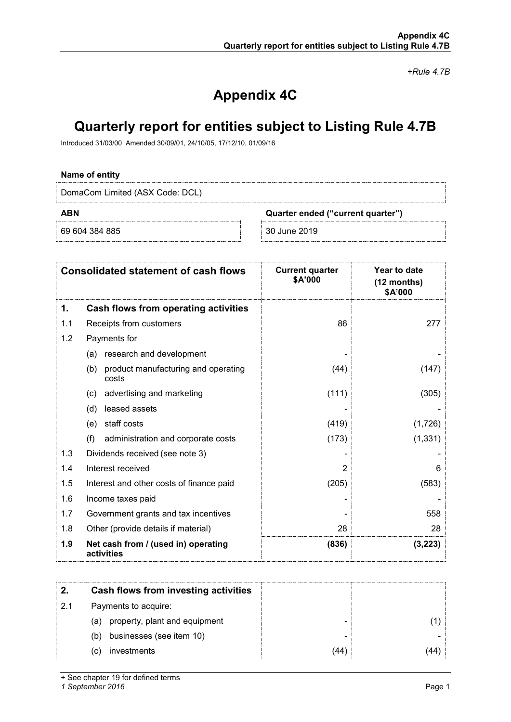*+Rule 4.7B*

# **Appendix 4C**

# **Quarterly report for entities subject to Listing Rule 4.7B**

Introduced 31/03/00 Amended 30/09/01, 24/10/05, 17/12/10, 01/09/16

### **Name of entity**

DomaCom Limited (ASX Code: DCL)

69 604 384 885 30 June 2019

**ABN Quarter ended ("current quarter")**

| <b>Consolidated statement of cash flows</b> |                                                     | <b>Current quarter</b><br>\$A'000 | Year to date<br>(12 months)<br>\$A'000 |
|---------------------------------------------|-----------------------------------------------------|-----------------------------------|----------------------------------------|
| 1.                                          | Cash flows from operating activities                |                                   |                                        |
| 1.1                                         | Receipts from customers                             | 86                                | 277                                    |
| 1.2                                         | Payments for                                        |                                   |                                        |
|                                             | research and development<br>(a)                     |                                   |                                        |
|                                             | product manufacturing and operating<br>(b)<br>costs | (44)                              | (147)                                  |
|                                             | advertising and marketing<br>(c)                    | (111)                             | (305)                                  |
|                                             | leased assets<br>(d)                                |                                   |                                        |
|                                             | staff costs<br>(e)                                  | (419)                             | (1,726)                                |
|                                             | (f)<br>administration and corporate costs           | (173)                             | (1, 331)                               |
| 1.3                                         | Dividends received (see note 3)                     |                                   |                                        |
| 1.4                                         | Interest received                                   | 2                                 | 6                                      |
| 1.5                                         | Interest and other costs of finance paid            | (205)                             | (583)                                  |
| 1.6                                         | Income taxes paid                                   |                                   |                                        |
| 1.7                                         | Government grants and tax incentives                |                                   | 558                                    |
| 1.8                                         | Other (provide details if material)                 | 28                                | 28                                     |
| 1.9                                         | Net cash from / (used in) operating<br>activities   | (836)                             | (3,223)                                |

|     | Cash flows from investing activities |     |  |
|-----|--------------------------------------|-----|--|
| 2.1 | Payments to acquire:                 |     |  |
|     | property, plant and equipment<br>(a) |     |  |
|     | businesses (see item 10)<br>(b)      |     |  |
|     | investments<br>C)                    | 44) |  |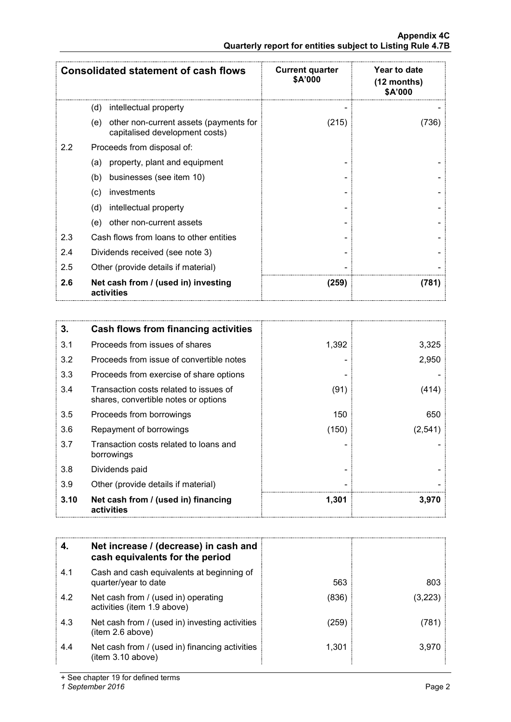|                  | <b>Consolidated statement of cash flows</b>                              | <b>Current quarter</b><br>\$A'000 | Year to date<br>(12 months)<br>\$A'000 |
|------------------|--------------------------------------------------------------------------|-----------------------------------|----------------------------------------|
| (d)              | intellectual property                                                    |                                   |                                        |
| (e)              | other non-current assets (payments for<br>capitalised development costs) | (215)                             | (736)                                  |
| $2.2\phantom{0}$ | Proceeds from disposal of:                                               |                                   |                                        |
| (a)              | property, plant and equipment                                            |                                   |                                        |
| (b)              | businesses (see item 10)                                                 |                                   |                                        |
| (c)              | investments                                                              |                                   |                                        |
| (d)              | intellectual property                                                    |                                   |                                        |
| (e)              | other non-current assets                                                 |                                   |                                        |
| 2.3              | Cash flows from loans to other entities                                  |                                   |                                        |
| 2.4              | Dividends received (see note 3)                                          |                                   |                                        |
| 2.5              | Other (provide details if material)                                      |                                   |                                        |
| 2.6              | Net cash from / (used in) investing<br>activities                        | (259)                             | (781)                                  |

| 3.   | Cash flows from financing activities                                           |       |         |
|------|--------------------------------------------------------------------------------|-------|---------|
| 3.1  | Proceeds from issues of shares                                                 | 1,392 | 3,325   |
| 3.2  | Proceeds from issue of convertible notes                                       |       | 2,950   |
| 3.3  | Proceeds from exercise of share options                                        |       |         |
| 3.4  | Transaction costs related to issues of<br>shares, convertible notes or options | (91)  | (414)   |
| 3.5  | Proceeds from borrowings                                                       | 150   | 650     |
| 3.6  | Repayment of borrowings                                                        | (150) | (2,541) |
| 3.7  | Transaction costs related to loans and<br>borrowings                           |       |         |
| 3.8  | Dividends paid                                                                 |       |         |
| 3.9  | Other (provide details if material)                                            |       |         |
| 3.10 | Net cash from / (used in) financing<br>activities                              | 1,301 | 3,970   |

|     | Net increase / (decrease) in cash and<br>cash equivalents for the period |       |         |
|-----|--------------------------------------------------------------------------|-------|---------|
| 4.1 | Cash and cash equivalents at beginning of<br>quarter/year to date        | 563   | 803     |
| 4.2 | Net cash from / (used in) operating<br>activities (item 1.9 above)       | (836) | (3.223) |
| 4.3 | Net cash from / (used in) investing activities<br>item 2.6 above)        | (259) | 781     |
| 4.4 | Net cash from / (used in) financing activities<br>(item 3.10 above)      | 1.301 | 3.970   |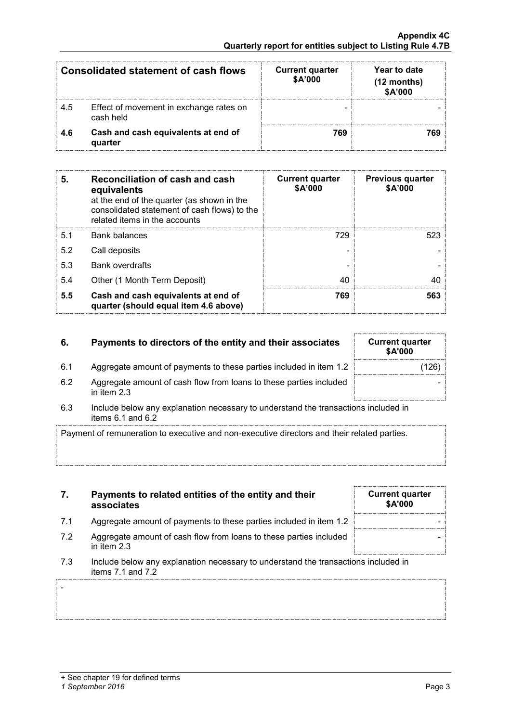-

| <b>Consolidated statement of cash flows</b> |                                                      | <b>Current quarter</b><br>\$A'000 | Year to date<br>$(12$ months)<br>\$A'000 |
|---------------------------------------------|------------------------------------------------------|-----------------------------------|------------------------------------------|
| -4.5                                        | Effect of movement in exchange rates on<br>cash held |                                   |                                          |
| 4 G                                         | Cash and cash equivalents at end of<br>quarter       | 769                               |                                          |

| 5.  | Reconciliation of cash and cash<br>equivalents<br>at the end of the quarter (as shown in the<br>consolidated statement of cash flows) to the<br>related items in the accounts | <b>Current quarter</b><br><b>\$A'000</b> | <b>Previous quarter</b><br>\$A'000 |
|-----|-------------------------------------------------------------------------------------------------------------------------------------------------------------------------------|------------------------------------------|------------------------------------|
| 5.1 | <b>Bank balances</b>                                                                                                                                                          | 729                                      | 523                                |
| 5.2 | Call deposits                                                                                                                                                                 |                                          |                                    |
| 5.3 | <b>Bank overdrafts</b>                                                                                                                                                        |                                          |                                    |
| 5.4 | Other (1 Month Term Deposit)                                                                                                                                                  | 40                                       |                                    |
| 5.5 | Cash and cash equivalents at end of<br>quarter (should equal item 4.6 above)                                                                                                  | 769                                      | 563                                |

## **6.** Payments to directors of the entity and their associates

- 6.1 Aggregate amount of payments to these parties included in item 1.2
- 6.2 Aggregate amount of cash flow from loans to these parties included in item 2.3
- 6.3 Include below any explanation necessary to understand the transactions included in items 6.1 and 6.2

Payment of remuneration to executive and non-executive directors and their related parties.

- **7. Payments to related entities of the entity and their associates**
- 7.1 Aggregate amount of payments to these parties included in item 1.2
- 7.2 Aggregate amount of cash flow from loans to these parties included in item 2.3
- 7.3 Include below any explanation necessary to understand the transactions items 7.1 and 7.2

| included in |  |
|-------------|--|
|             |  |

**Current quarter \$A'000**

| <b>Current quarter</b><br><b>\$A'000</b> |       |
|------------------------------------------|-------|
|                                          | (126) |
|                                          |       |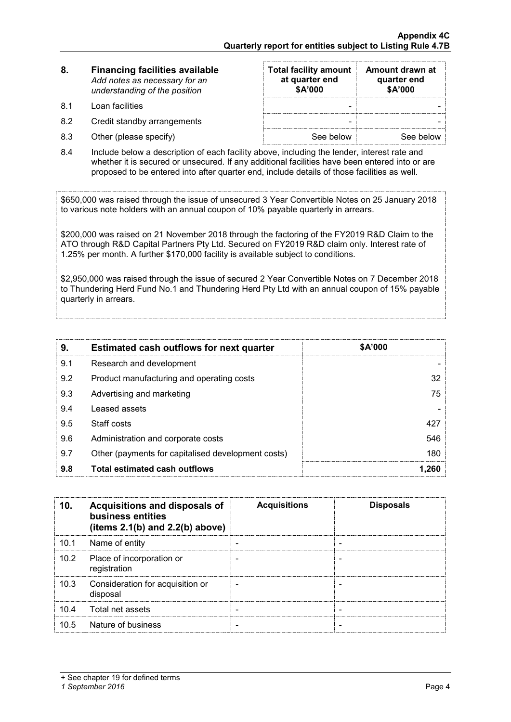| 8. | <b>Financing facilities available</b> |
|----|---------------------------------------|
|    | Add notes as necessary for an         |
|    | understanding of the position         |

- 8.1 Loan facilities
- 8.2 Credit standby arrangements
- $8.3$  Other (please specify)

| <b>Total facility amount</b><br>at quarter end<br>\$A'000 | Amount drawn at<br>quarter end<br>\$A'000 |
|-----------------------------------------------------------|-------------------------------------------|
|                                                           |                                           |
|                                                           |                                           |
| See below                                                 | See below                                 |

8.4 Include below a description of each facility above, including the lender, interest rate and whether it is secured or unsecured. If any additional facilities have been entered into or are proposed to be entered into after quarter end, include details of those facilities as well.

\$650,000 was raised through the issue of unsecured 3 Year Convertible Notes on 25 January 2018 to various note holders with an annual coupon of 10% payable quarterly in arrears.

\$200,000 was raised on 21 November 2018 through the factoring of the FY2019 R&D Claim to the ATO through R&D Capital Partners Pty Ltd. Secured on FY2019 R&D claim only. Interest rate of 1.25% per month. A further \$170,000 facility is available subject to conditions.

\$2,950,000 was raised through the issue of secured 2 Year Convertible Notes on 7 December 2018 to Thundering Herd Fund No.1 and Thundering Herd Pty Ltd with an annual coupon of 15% payable quarterly in arrears.

| 9.  | <b>Estimated cash outflows for next quarter</b>    | \$A'000 |
|-----|----------------------------------------------------|---------|
| 9.1 | Research and development                           |         |
| 9.2 | Product manufacturing and operating costs          |         |
| 9.3 | Advertising and marketing                          | 75.     |
| 9.4 | Leased assets                                      |         |
| 9.5 | Staff costs                                        |         |
| 9.6 | Administration and corporate costs                 | 546     |
| 9.7 | Other (payments for capitalised development costs) | 180     |
| 9.8 | Total estimated cash outflows                      |         |

| 10.  | Acquisitions and disposals of<br>business entities<br>(items $2.1(b)$ and $2.2(b)$ above) | <b>Acquisitions</b> | <b>Disposals</b> |
|------|-------------------------------------------------------------------------------------------|---------------------|------------------|
| 10.1 | Name of entity                                                                            |                     |                  |
| 10.2 | Place of incorporation or<br>registration                                                 |                     |                  |
| 10.3 | Consideration for acquisition or<br>disposal                                              |                     |                  |
| 10.4 | Total net assets                                                                          |                     |                  |
| 10.5 | Nature of business                                                                        |                     |                  |